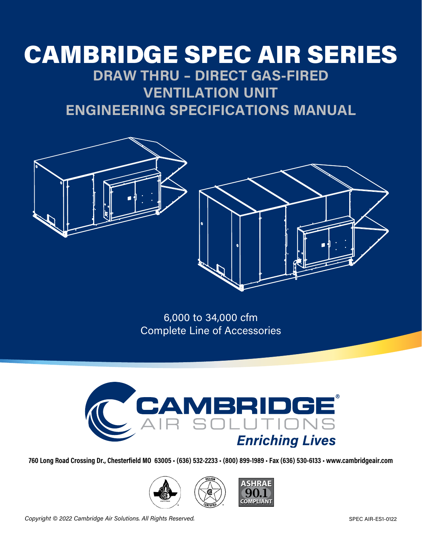# CAMBRIDGE SPEC AIR SERIES **DRAW THRU – DIRECT GAS-FIRED**

**VENTILATION UNIT ENGINEERING SPECIFICATIONS MANUAL**





6,000 to 34,000 cfm Complete Line of Accessories



**760 Long Road Crossing Dr., Chesterfield MO 63005 • (636) 532-2233 • (800) 899-1989 • Fax (636) 530-6133 • www.cambridgeair.com**





*Copyright © 2022 Cambridge Air Solutions. All Rights Reserved.* SPEC AIR-ES1-0122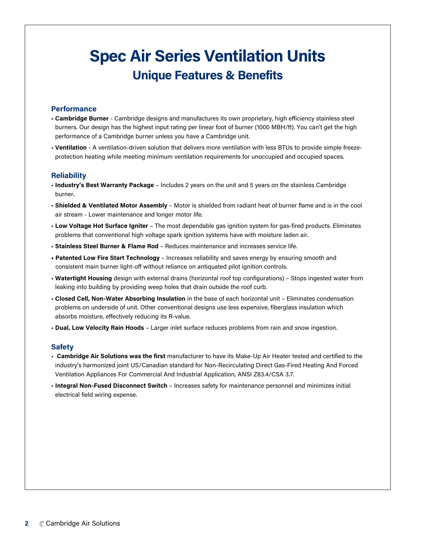# **Spec Air Series Ventilation Units Unique Features & Benefits**

### **Performance**

- **Cambridge Burner**  Cambridge designs and manufactures its own proprietary, high efficiency stainless steel burners. Our design has the highest input rating per linear foot of burner (1000 MBH/ft). You can't get the high performance of a Cambridge burner unless you have a Cambridge unit.
- **Ventilation** A ventilation-driven solution that delivers more ventilation with less BTUs to provide simple freezeprotection heating while meeting minimum ventilation requirements for unoccupied and occupied spaces.

#### **Reliability**

- **Industry's Best Warranty Package** Includes 2 years on the unit and 5 years on the stainless Cambridge burner.
- **Shielded & Ventilated Motor Assembly** Motor is shielded from radiant heat of burner flame and is in the cool air stream - Lower maintenance and longer motor life.
- **Low Voltage Hot Surface Igniter** The most dependable gas ignition system for gas-fired products. Eliminates problems that conventional high voltage spark ignition systems have with moisture laden air.
- **Stainless Steel Burner & Flame Rod** Reduces maintenance and increases service life.
- **Patented Low Fire Start Technology** Increases reliability and saves energy by ensuring smooth and consistent main burner light-off without reliance on antiquated pilot ignition controls.
- **Watertight Housing** design with external drains (horizontal roof top configurations) Stops ingested water from leaking into building by providing weep holes that drain outside the roof curb.
- **Closed Cell, Non-Water Absorbing Insulation** in the base of each horizontal unit Eliminates condensation problems on underside of unit. Other conventional designs use less expensive, fiberglass insulation which absorbs moisture, effectively reducing its R-value.
- **Dual, Low Velocity Rain Hoods** Larger inlet surface reduces problems from rain and snow ingestion.

#### **Safety**

- **Cambridge Air Solutions was the first** manufacturer to have its Make-Up Air Heater tested and certified to the industry's harmonized joint US/Canadian standard for Non-Recirculating Direct Gas-Fired Heating And Forced Ventilation Appliances For Commercial And Industrial Application, ANSI Z83.4/CSA 3.7.
- **Integral Non-Fused Disconnect Switch** Increases safety for maintenance personnel and minimizes initial electrical field wiring expense.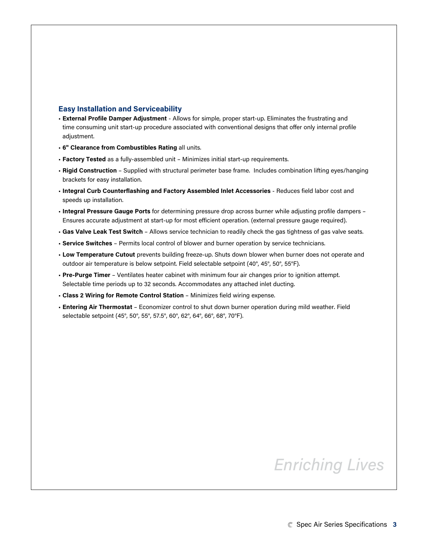#### **Easy Installation and Serviceability**

- **External Profile Damper Adjustment** Allows for simple, proper start-up. Eliminates the frustrating and time consuming unit start-up procedure associated with conventional designs that offer only internal profile adjustment.
- **6" Clearance from Combustibles Rating** all units.
- **Factory Tested** as a fully-assembled unit Minimizes initial start-up requirements.
- **Rigid Construction** Supplied with structural perimeter base frame. Includes combination lifting eyes/hanging brackets for easy installation.
- **Integral Curb Counterflashing and Factory Assembled Inlet Accessories** Reduces field labor cost and speeds up installation.
- **Integral Pressure Gauge Ports** for determining pressure drop across burner while adjusting profile dampers Ensures accurate adjustment at start-up for most efficient operation. (external pressure gauge required).
- **Gas Valve Leak Test Switch** Allows service technician to readily check the gas tightness of gas valve seats.
- **Service Switches** Permits local control of blower and burner operation by service technicians.
- **Low Temperature Cutout** prevents building freeze-up. Shuts down blower when burner does not operate and outdoor air temperature is below setpoint. Field selectable setpoint (40°, 45°, 50°, 55°F).
- **Pre-Purge Timer** Ventilates heater cabinet with minimum four air changes prior to ignition attempt. Selectable time periods up to 32 seconds. Accommodates any attached inlet ducting.
- **Class 2 Wiring for Remote Control Station** Minimizes field wiring expense.
- **Entering Air Thermostat** Economizer control to shut down burner operation during mild weather. Field selectable setpoint (45°, 50°, 55°, 57.5°, 60°, 62°, 64°, 66°, 68°, 70°F).

# *Enriching Lives*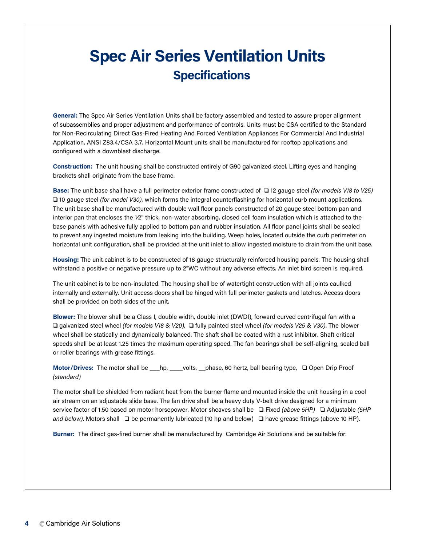# **Spec Air Series Ventilation Units Specifications**

**General:** The Spec Air Series Ventilation Units shall be factory assembled and tested to assure proper alignment of subassemblies and proper adjustment and performance of controls. Units must be CSA certified to the Standard for Non-Recirculating Direct Gas-Fired Heating And Forced Ventilation Appliances For Commercial And Industrial Application, ANSI Z83.4/CSA 3.7. Horizontal Mount units shall be manufactured for rooftop applications and configured with a downblast discharge.

**Construction:** The unit housing shall be constructed entirely of G90 galvanized steel. Lifting eyes and hanging brackets shall originate from the base frame.

**Base:** The unit base shall have a full perimeter exterior frame constructed of ❑ 12 gauge steel *(for models V18 to V25)* ❑ 10 gauge steel *(for model V30)*, which forms the integral counterflashing for horizontal curb mount applications. The unit base shall be manufactured with double wall floor panels constructed of 20 gauge steel bottom pan and interior pan that encloses the 1⁄2" thick, non-water absorbing, closed cell foam insulation which is attached to the base panels with adhesive fully applied to bottom pan and rubber insulation. All floor panel joints shall be sealed to prevent any ingested moisture from leaking into the building. Weep holes, located outside the curb perimeter on horizontal unit configuration, shall be provided at the unit inlet to allow ingested moisture to drain from the unit base.

**Housing:** The unit cabinet is to be constructed of 18 gauge structurally reinforced housing panels. The housing shall withstand a positive or negative pressure up to 2"WC without any adverse effects. An inlet bird screen is required.

The unit cabinet is to be non-insulated. The housing shall be of watertight construction with all joints caulked internally and externally. Unit access doors shall be hinged with full perimeter gaskets and latches. Access doors shall be provided on both sides of the unit.

**Blower:** The blower shall be a Class I, double width, double inlet (DWDI), forward curved centrifugal fan with a ❑ galvanized steel wheel *(for models V18 & V20)*, ❑ fully painted steel wheel *(for models V25 & V30)*. The blower wheel shall be statically and dynamically balanced. The shaft shall be coated with a rust inhibitor. Shaft critical speeds shall be at least 1.25 times the maximum operating speed. The fan bearings shall be self-aligning, sealed ball or roller bearings with grease fittings.

**Motor/Drives:** The motor shall be \_\_\_hp, \_\_\_\_volts, \_\_phase, 60 hertz, ball bearing type, ❑ Open Drip Proof *(standard)*

The motor shall be shielded from radiant heat from the burner flame and mounted inside the unit housing in a cool air stream on an adjustable slide base. The fan drive shall be a heavy duty V-belt drive designed for a minimum service factor of 1.50 based on motor horsepower. Motor sheaves shall be ❑ Fixed *(above 5HP)* ❑ Adjustable *(5HP and below)*. Motors shall ❑ be permanently lubricated (10 hp and below) ❑ have grease fittings (above 10 HP).

**Burner:** The direct gas-fired burner shall be manufactured by Cambridge Air Solutions and be suitable for: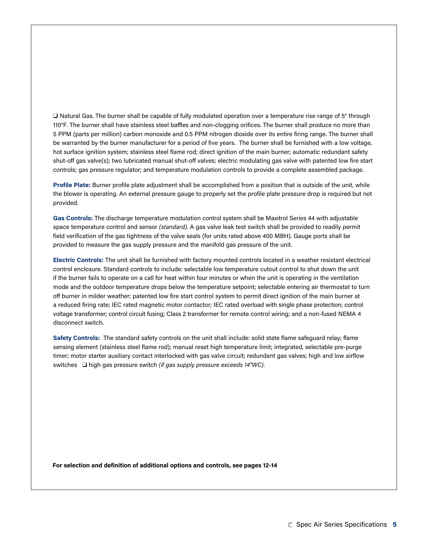❑ Natural Gas. The burner shall be capable of fully modulated operation over a temperature rise range of 5° through 110°F. The burner shall have stainless steel baffles and non-clogging orifices. The burner shall produce no more than 5 PPM (parts per million) carbon monoxide and 0.5 PPM nitrogen dioxide over its entire firing range. The burner shall be warranted by the burner manufacturer for a period of five years. The burner shall be furnished with a low voltage, hot surface ignition system; stainless steel flame rod; direct ignition of the main burner; automatic redundant safety shut-off gas valve(s); two lubricated manual shut-off valves; electric modulating gas valve with patented low fire start controls; gas pressure regulator; and temperature modulation controls to provide a complete assembled package.

**Profile Plate:** Burner profile plate adjustment shall be accomplished from a position that is outside of the unit, while the blower is operating. An external pressure gauge to properly set the profile plate pressure drop is required but not provided.

**Gas Controls:** The discharge temperature modulation control system shall be Maxitrol Series 44 with adjustable space temperature control and sensor *(standard)*. A gas valve leak test switch shall be provided to readily permit field verification of the gas tightness of the valve seals (for units rated above 400 MBH). Gauge ports shall be provided to measure the gas supply pressure and the manifold gas pressure of the unit.

**Electric Controls:** The unit shall be furnished with factory mounted controls located in a weather resistant electrical control enclosure. Standard controls to include: selectable low temperature cutout control to shut down the unit if the burner fails to operate on a call for heat within four minutes or when the unit is operating in the ventilation mode and the outdoor temperature drops below the temperature setpoint; selectable entering air thermostat to turn off burner in milder weather; patented low fire start control system to permit direct ignition of the main burner at a reduced firing rate; IEC rated magnetic motor contactor; IEC rated overload with single phase protection; control voltage transformer; control circuit fusing; Class 2 transformer for remote control wiring; and a non-fused NEMA 4 disconnect switch.

**Safety Controls:** The standard safety controls on the unit shall include: solid state flame safeguard relay; flame sensing element (stainless steel flame rod); manual reset high temperature limit; integrated, selectable pre-purge timer; motor starter auxiliary contact interlocked with gas valve circuit; redundant gas valves; high and low airflow switches ❑ high gas pressure switch *(if gas supply pressure exceeds 14"WC)*.

**For selection and definition of additional options and controls, see pages 12-14**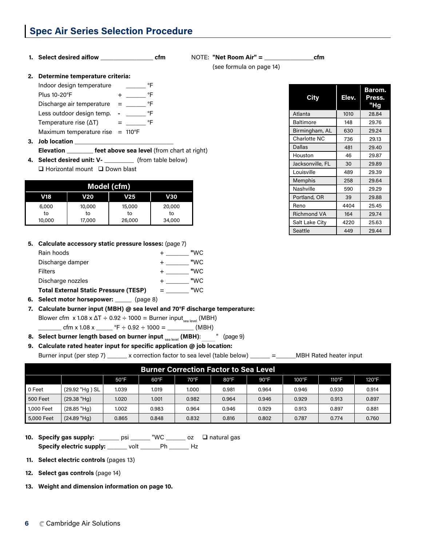- **1. Select desired aiflow \_\_\_\_\_\_\_\_\_\_\_\_\_\_\_\_ cfm**
	-
- NOTE: **"Net Room Air" = \_\_\_\_\_\_\_\_\_\_\_\_\_\_\_cfm**

(see formula on page 14)

**2. Determine temperature criteria:**

| Indoor design temperature |     |                   |  |
|---------------------------|-----|-------------------|--|
| Plus 10-20°F              |     |                   |  |
| Discharge air temperature | $=$ |                   |  |
| Less outdoor design temp. |     |                   |  |
| Temperature rise $(ΔT)$   |     |                   |  |
| Maximum temperature rise  |     | $= 110^{\circ}$ F |  |

- **3. Job location \_\_\_\_\_\_\_\_\_\_\_\_\_\_\_\_\_\_\_\_\_\_\_\_\_\_\_\_\_\_ Elevation \_\_\_\_\_\_\_\_ feet above sea level** (from chart at right)
- **4. Select desired unit: V- \_\_\_\_\_\_\_\_\_** (from table below)  $\Box$  Horizontal mount  $\Box$  Down blast

| Model (cfm) |            |                 |            |  |  |  |  |  |  |
|-------------|------------|-----------------|------------|--|--|--|--|--|--|
| V18         | <b>V20</b> | V <sub>25</sub> | <b>V30</b> |  |  |  |  |  |  |
| 6,000       | 10,000     | 15,000          | 20,000     |  |  |  |  |  |  |
| to          | to         | to              | to         |  |  |  |  |  |  |
| 10,000      | 17,000     | 26,000          | 34,000     |  |  |  |  |  |  |

**5. Calculate accessory static pressure losses:** (page 7)

| Rain hoods                                   | "WC |
|----------------------------------------------|-----|
| Discharge damper                             | "WC |
| <b>Filters</b>                               | "WC |
| Discharge nozzles                            | "WC |
| <b>Total External Static Pressure (TESP)</b> | "WC |
|                                              |     |

**6. Select motor horsepower: \_\_\_\_\_** (page 8)

**7. Calculate burner input (MBH) @ sea level and 70°F discharge temperature:** Blower cfm x 1.08 x  $\Delta T \div 0.92 \div 1000 =$  Burner input sea level (MBH)  $\_$  cfm x 1.08 x  $\_$  °F  $\div$  0.92  $\div$  1000 =  $\_$  (MBH)

**8. Select burner length based on burner input <sub>sea level</sub> (MBH): \_\_\_\_<sup>"</sup> (page 9)** 

 **9. Calculate rated heater input for specific application @ job location:** 

Burner input (per step 7) \_\_\_\_\_\_ x correction factor to sea level (table below) \_\_\_\_\_ = \_\_\_\_\_\_MBH Rated heater input

| <b>Burner Correction Factor to Sea Level</b> |                |                |                |       |                |                |                 |                |                 |  |  |  |
|----------------------------------------------|----------------|----------------|----------------|-------|----------------|----------------|-----------------|----------------|-----------------|--|--|--|
|                                              |                | $50^{\circ}$ F | $60^{\circ}$ F | 70°F  | $80^{\circ}$ F | $90^{\circ}$ F | $100^{\circ}$ F | $110^{\circ}F$ | $120^{\circ}$ F |  |  |  |
| 0 Feet                                       | (29.92 "Hg) SL | 1.039          | 1.019          | 1.000 | 0.981          | 0.964          | 0.946           | 0.930          | 0.914           |  |  |  |
| 500 Feet                                     | $(29.38$ "Hg)  | 1.020          | 1.001          | 0.982 | 0.964          | 0.946          | 0.929           | 0.913          | 0.897           |  |  |  |
| 1,000 Feet                                   | $(28.85$ "Hg)  | 1.002          | 0.983          | 0.964 | 0.946          | 0.929          | 0.913           | 0.897          | 0.881           |  |  |  |
| 5,000 Feet                                   | (24.89 "Hg)    | 0.865          | 0.848          | 0.832 | 0.816          | 0.802          | 0.787           | 0.774          | 0.760           |  |  |  |

10. **Specify gas supply:** \_\_\_\_\_\_ psi \_\_\_\_\_ "WC \_\_\_\_\_\_ oz Q natural gas **Specify electric supply:** \_\_\_\_\_\_ volt \_\_\_\_\_\_Ph \_\_\_\_\_\_ Hz

**11. Select electric controls** (pages 13)

**12. Select gas controls** (page 14)

**13. Weight and dimension information on page 10.**

| City                | Elev. | Barom.<br>Press.<br>"Hg |
|---------------------|-------|-------------------------|
| Atlanta             | 1010  | 28.84                   |
| Baltimore           | 148   | 29.76                   |
| Birmingham, AL      | 630   | 29.24                   |
| <b>Charlotte NC</b> | 736   | 29.13                   |
| <b>Dallas</b>       | 481   | 29.40                   |
| Houston             | 46    | 29.87                   |
| Jacksonville, FL    | 30    | 29.89                   |
| Louisville          | 489   | 29.39                   |
| Memphis             | 258   | 29.64                   |
| Nashville           | 590   | 29.29                   |
| Portland, OR        | 39    | 29.88                   |
| Reno                | 4404  | 25.45                   |
| <b>Richmond VA</b>  | 164   | 29.74                   |
| Salt Lake City      | 4220  | 25.63                   |
| Seattle             | 449   | 29.44                   |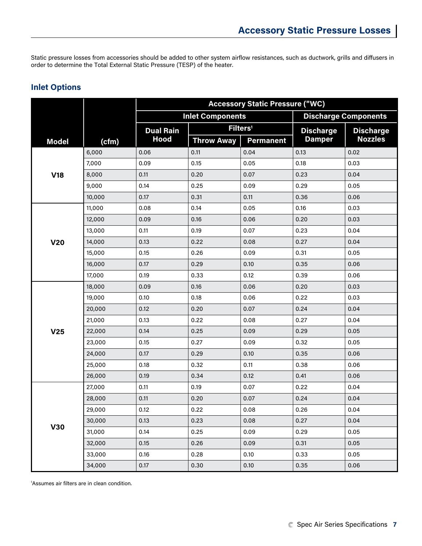Static pressure losses from accessories should be added to other system airflow resistances, such as ductwork, grills and diffusers in order to determine the Total External Static Pressure (TESP) of the heater.

### **Inlet Options**

|                 |        | <b>Accessory Static Pressure ("WC)</b> |                         |                      |                  |                             |  |  |  |
|-----------------|--------|----------------------------------------|-------------------------|----------------------|------------------|-----------------------------|--|--|--|
|                 |        |                                        | <b>Inlet Components</b> |                      |                  | <b>Discharge Components</b> |  |  |  |
|                 |        | <b>Dual Rain</b>                       |                         | Filters <sup>1</sup> | <b>Discharge</b> | <b>Discharge</b>            |  |  |  |
| <b>Model</b>    | (cfm)  | Hood                                   | <b>Throw Away</b>       | <b>Permanent</b>     | <b>Damper</b>    | <b>Nozzles</b>              |  |  |  |
|                 | 6,000  | 0.06                                   | 0.11                    | 0.04                 | 0.13             | 0.02                        |  |  |  |
|                 | 7,000  | 0.09                                   | 0.15                    | 0.05                 | 0.18             | 0.03                        |  |  |  |
| V18             | 8,000  | 0.11                                   | 0.20                    | 0.07                 | 0.23             | 0.04                        |  |  |  |
|                 | 9,000  | 0.14                                   | 0.25                    | 0.09                 | 0.29             | 0.05                        |  |  |  |
|                 | 10,000 | 0.17                                   | 0.31                    | 0.11                 | 0.36             | 0.06                        |  |  |  |
|                 | 11,000 | 0.08                                   | 0.14                    | 0.05                 | 0.16             | 0.03                        |  |  |  |
|                 | 12,000 | 0.09                                   | 0.16                    | 0.06                 | 0.20             | 0.03                        |  |  |  |
|                 | 13,000 | 0.11                                   | 0.19                    | 0.07                 | 0.23             | 0.04                        |  |  |  |
| <b>V20</b>      | 14,000 | 0.13                                   | 0.22                    | 0.08                 | 0.27             | 0.04                        |  |  |  |
|                 | 15,000 | 0.15                                   | 0.26                    | 0.09                 | 0.31             | 0.05                        |  |  |  |
|                 | 16,000 | 0.17                                   | 0.29                    | 0.10                 | 0.35             | 0.06                        |  |  |  |
|                 | 17,000 | 0.19                                   | 0.33                    | 0.12                 | 0.39             | 0.06                        |  |  |  |
|                 | 18,000 | 0.09                                   | 0.16                    | 0.06                 | 0.20             | 0.03                        |  |  |  |
|                 | 19,000 | 0.10                                   | 0.18                    | 0.06                 | 0.22             | 0.03                        |  |  |  |
|                 | 20,000 | 0.12                                   | 0.20                    | 0.07                 | 0.24             | 0.04                        |  |  |  |
|                 | 21,000 | 0.13                                   | 0.22                    | 0.08                 | 0.27             | 0.04                        |  |  |  |
| V <sub>25</sub> | 22,000 | 0.14                                   | 0.25                    | 0.09                 | 0.29             | 0.05                        |  |  |  |
|                 | 23,000 | 0.15                                   | 0.27                    | 0.09                 | 0.32             | 0.05                        |  |  |  |
|                 | 24,000 | 0.17                                   | 0.29                    | 0.10                 | 0.35             | 0.06                        |  |  |  |
|                 | 25,000 | 0.18                                   | 0.32                    | 0.11                 | 0.38             | 0.06                        |  |  |  |
|                 | 26,000 | 0.19                                   | 0.34                    | 0.12                 | 0.41             | 0.06                        |  |  |  |
|                 | 27,000 | 0.11                                   | 0.19                    | 0.07                 | 0.22             | 0.04                        |  |  |  |
|                 | 28,000 | 0.11                                   | 0.20                    | 0.07                 | 0.24             | 0.04                        |  |  |  |
|                 | 29,000 | 0.12                                   | 0.22                    | 0.08                 | 0.26             | 0.04                        |  |  |  |
| <b>V30</b>      | 30,000 | 0.13                                   | 0.23                    | 0.08                 | 0.27             | 0.04                        |  |  |  |
|                 | 31,000 | 0.14                                   | 0.25                    | 0.09                 | 0.29             | 0.05                        |  |  |  |
|                 | 32,000 | 0.15                                   | 0.26                    | 0.09                 | 0.31             | 0.05                        |  |  |  |
|                 | 33,000 | 0.16                                   | 0.28                    | 0.10                 | 0.33             | 0.05                        |  |  |  |
|                 | 34,000 | 0.17                                   | 0.30                    | 0.10                 | 0.35             | 0.06                        |  |  |  |

1 Assumes air filters are in clean condition.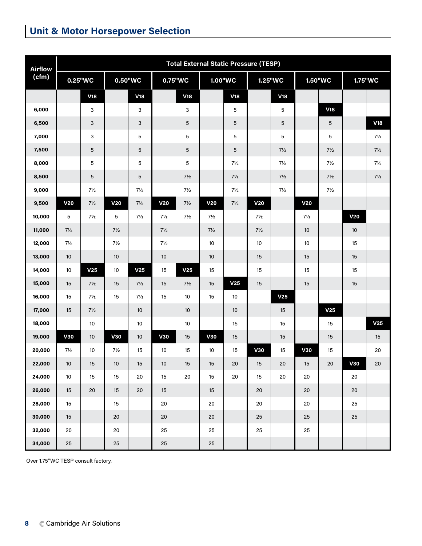# **Unit & Motor Horsepower Selection**

| <b>Airflow</b> | <b>Total External Static Pressure (TESP)</b> |                           |                 |                 |                |                 |                |                 |                 |                 |                 |                 |         |                 |
|----------------|----------------------------------------------|---------------------------|-----------------|-----------------|----------------|-----------------|----------------|-----------------|-----------------|-----------------|-----------------|-----------------|---------|-----------------|
| (cfm)          |                                              | 0.25"WC                   |                 | 0.50"WC         | 0.75"WC        |                 | 1.00"WC        |                 |                 | 1.25"WC         |                 | 1.50"WC         | 1.75"WC |                 |
|                |                                              | V18                       |                 | V18             |                | V18             |                | V18             |                 | V18             |                 |                 |         |                 |
| 6,000          |                                              | $\mathbf{3}$              |                 | 3               |                | 3               |                | 5               |                 | 5               |                 | V18             |         |                 |
| 6,500          |                                              | $\ensuremath{\mathsf{3}}$ |                 | $\mathsf 3$     |                | 5               |                | 5               |                 | 5               |                 | $\mathbf 5$     |         | V18             |
| 7,000          |                                              | 3                         |                 | 5               |                | 5               |                | 5               |                 | 5               |                 | 5               |         | $7\frac{1}{2}$  |
| 7,500          |                                              | $\sqrt{5}$                |                 | $\sqrt{5}$      |                | 5               |                | 5               |                 | $7\frac{1}{2}$  |                 | $7\frac{1}{2}$  |         | $7\frac{1}{2}$  |
| 8,000          |                                              | 5                         |                 | 5               |                | 5               |                | $7\frac{1}{2}$  |                 | $7\frac{1}{2}$  |                 | $7\frac{1}{2}$  |         | $7\frac{1}{2}$  |
| 8,500          |                                              | 5                         |                 | 5               |                | $7\frac{1}{2}$  |                | $7\frac{1}{2}$  |                 | $7\frac{1}{2}$  |                 | $7\frac{1}{2}$  |         | $7\frac{1}{2}$  |
| 9,000          |                                              | $7\frac{1}{2}$            |                 | $7\frac{1}{2}$  |                | $7\frac{1}{2}$  |                | $7\frac{1}{2}$  |                 | $7\frac{1}{2}$  |                 | $7\frac{1}{2}$  |         |                 |
| 9,500          | V20                                          | $7\frac{1}{2}$            | V <sub>20</sub> | $7\frac{1}{2}$  | V20            | $7\frac{1}{2}$  | V20            | $7\frac{1}{2}$  | V <sub>20</sub> |                 | V <sub>20</sub> |                 |         |                 |
| 10,000         | 5                                            | $7\frac{1}{2}$            | 5               | $7\frac{1}{2}$  | $7\frac{1}{2}$ | $7\frac{1}{2}$  | $7\frac{1}{2}$ |                 | $7\frac{1}{2}$  |                 | $7\frac{1}{2}$  |                 | V20     |                 |
| 11,000         | $7\frac{1}{2}$                               |                           | $7\frac{1}{2}$  |                 | $7\frac{1}{2}$ |                 | $7\frac{1}{2}$ |                 | $7\frac{1}{2}$  |                 | 10              |                 | $10\,$  |                 |
| 12,000         | $7\frac{1}{2}$                               |                           | $7\frac{1}{2}$  |                 | $7\frac{1}{2}$ |                 | 10             |                 | $10\,$          |                 | $10\,$          |                 | 15      |                 |
| 13,000         | $10$                                         |                           | 10              |                 | $10$           |                 | $10$           |                 | 15              |                 | 15              |                 | 15      |                 |
| 14,000         | 10                                           | V <sub>25</sub>           | $10$            | V <sub>25</sub> | 15             | V <sub>25</sub> | $15\,$         |                 | $15\,$          |                 | 15              |                 | 15      |                 |
| 15,000         | 15                                           | $7\frac{1}{2}$            | 15              | $7\frac{1}{2}$  | 15             | $7\frac{1}{2}$  | 15             | V <sub>25</sub> | 15              |                 | 15              |                 | 15      |                 |
| 16,000         | 15                                           | $7\frac{1}{2}$            | 15              | $7\frac{1}{2}$  | $15\,$         | 10              | $15\,$         | $10\,$          |                 | V <sub>25</sub> |                 |                 |         |                 |
| 17,000         | 15                                           | $7\frac{1}{2}$            |                 | $10$            |                | 10              |                | 10              |                 | 15              |                 | V <sub>25</sub> |         |                 |
| 18,000         |                                              | 10                        |                 | 10              |                | $10\,$          |                | 15              |                 | 15              |                 | 15              |         | V <sub>25</sub> |
| 19,000         | <b>V30</b>                                   | $10$                      | <b>V30</b>      | 10              | <b>V30</b>     | 15              | <b>V30</b>     | 15              |                 | 15              |                 | 15              |         | 15              |
| 20,000         | $7\frac{1}{2}$                               | 10                        | $7\frac{1}{2}$  | 15              | 10             | 15              | $10\,$         | 15              | <b>V30</b>      | 15              | <b>V30</b>      | 15              |         | 20              |
| 22,000         | 10                                           | $15\,$                    | 10 <sup>°</sup> | 15              | $10\,$         | 15              | $15\,$         | 20              | $15\,$          | 20              | $15\,$          | $20\,$          | V30     | $20\,$          |
| 24,000         | 10 <sup>°</sup>                              | 15                        | 15              | $20\,$          | 15             | 20              | 15             | 20              | 15              | $20\,$          | 20              |                 | 20      |                 |
| 26,000         | 15                                           | 20                        | 15              | $20\,$          | 15             |                 | 15             |                 | 20              |                 | 20              |                 | 20      |                 |
| 28,000         | 15                                           |                           | 15              |                 | $20\,$         |                 | $20\,$         |                 | $20\,$          |                 | 20              |                 | 25      |                 |
| 30,000         | 15                                           |                           | 20              |                 | 20             |                 | 20             |                 | $25\,$          |                 | 25              |                 | 25      |                 |
| 32,000         | 20                                           |                           | 20              |                 | 25             |                 | 25             |                 | 25              |                 | 25              |                 |         |                 |
| 34,000         | 25                                           |                           | 25              |                 | 25             |                 | 25             |                 |                 |                 |                 |                 |         |                 |

Over 1.75"WC TESP consult factory.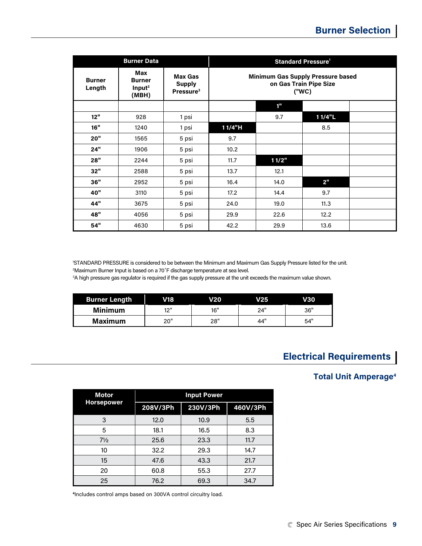|                         | <b>Burner Data</b>                                  |                                                          |                                                                      |       | <b>Standard Pressure<sup>1</sup></b> |  |  |
|-------------------------|-----------------------------------------------------|----------------------------------------------------------|----------------------------------------------------------------------|-------|--------------------------------------|--|--|
| <b>Burner</b><br>Length | Max<br><b>Burner</b><br>Input <sup>2</sup><br>(MBH) | <b>Max Gas</b><br><b>Supply</b><br>Pressure <sup>3</sup> | Minimum Gas Supply Pressure based<br>on Gas Train Pipe Size<br>("WC) |       |                                      |  |  |
|                         |                                                     |                                                          |                                                                      | 1"    |                                      |  |  |
| 12"                     | 928                                                 | 1 psi                                                    |                                                                      | 9.7   | 11/4"L                               |  |  |
| 16"                     | 1240                                                | 1 psi                                                    | 11/4"H                                                               |       | 8.5                                  |  |  |
| 20"                     | 1565                                                | 5 psi                                                    | 9.7                                                                  |       |                                      |  |  |
| 24"                     | 1906                                                | 5 psi                                                    | 10.2                                                                 |       |                                      |  |  |
| 28"                     | 2244                                                | 5 psi                                                    | 11.7                                                                 | 11/2" |                                      |  |  |
| 32"                     | 2588                                                | 5 psi                                                    | 13.7                                                                 | 12.1  |                                      |  |  |
| 36"                     | 2952                                                | 5 psi                                                    | 16.4                                                                 | 14.0  | 2"                                   |  |  |
| 40"                     | 3110                                                | 5 psi                                                    | 17.2                                                                 | 14.4  | 9.7                                  |  |  |
| 44"                     | 3675                                                | 5 psi                                                    | 24.0                                                                 | 19.0  | 11.3                                 |  |  |
| 48"                     | 4056                                                | 5 psi                                                    | 29.9                                                                 | 22.6  | 12.2                                 |  |  |
| 54"                     | 4630                                                | 5 psi                                                    | 42.2                                                                 | 29.9  | 13.6                                 |  |  |

1 STANDARD PRESSURE is considered to be between the Minimum and Maximum Gas Supply Pressure listed for the unit. 2 Maximum Burner Input is based on a 70˚F discharge temperature at sea level.

3 A high pressure gas regulator is required if the gas supply pressure at the unit exceeds the maximum value shown.

| <b>Burner Length</b> | V18   | V20 | V25. | V30 |
|----------------------|-------|-----|------|-----|
| <b>Minimum</b>       | 10 !! | 16" | 24"  | 36" |
| <b>Maximum</b>       | 20"   | 28" | 44"  | 54" |

### **Electrical Requirements**

### **Total Unit Amperage4**

| Motor             | <b>Input Power</b> |          |          |  |  |  |
|-------------------|--------------------|----------|----------|--|--|--|
| <b>Horsepower</b> | 208V/3Ph           | 230V/3Ph | 460V/3Ph |  |  |  |
| 3                 | 12.0               | 10.9     | 5.5      |  |  |  |
| 5                 | 18.1               | 16.5     | 8.3      |  |  |  |
| $7\frac{1}{2}$    | 25.6               | 23.3     | 11.7     |  |  |  |
| 10                | 32.2               | 29.3     | 14.7     |  |  |  |
| 15                | 47.6               | 43.3     | 21.7     |  |  |  |
| 20                | 60.8               | 55.3     | 27.7     |  |  |  |
| 25                | 76.2               | 69.3     | 34.7     |  |  |  |

**4** Includes control amps based on 300VA control circuitry load.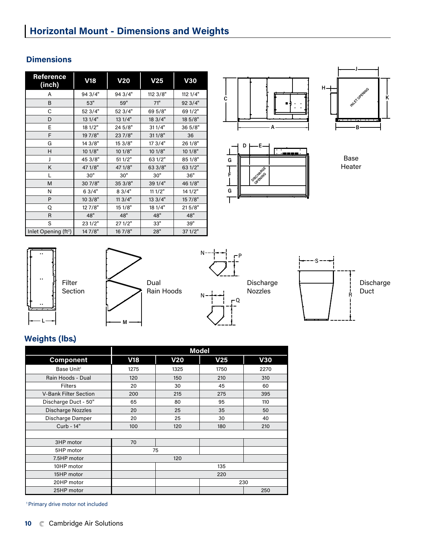### **Dimensions**

| Reference<br>(inch)              | V18     | <b>V20</b> | V <sub>25</sub> | <b>V30</b> |
|----------------------------------|---------|------------|-----------------|------------|
| A                                | 94 3/4" | 94 3/4"    | 112 3/8"        | 112 1/4"   |
| B                                | 53"     | 59"        | 71"             | 92 3/4"    |
| C                                | 52 3/4" | 52 3/4"    | 69 5/8"         | 69 1/2"    |
| D                                | 13 1/4" | 13 1/4"    | 18 3/4"         | 18 5/8"    |
| E                                | 18 1/2" | 24 5/8"    | 311/4"          | 36 5/8"    |
| F                                | 19 7/8" | 23 7/8"    | 31 1/8"         | 36         |
| G                                | 14 3/8" | 15 3/8"    | 17 3/4"         | 26 1/8"    |
| н                                | 10 1/8" | 10 1/8"    | 10 1/8"         | 10 1/8"    |
| J                                | 45 3/8" | 511/2"     | 63 1/2"         | 85 1/8"    |
| K                                | 47 1/8" | 47 1/8"    | 63 3/8"         | 63 1/2"    |
| L                                | 30"     | 30"        | 30"             | 36"        |
| M                                | 307/8"  | 353/8"     | 39 1/4"         | 46 1/8"    |
| N                                | 63/4"   | 83/4"      | 111/2"          | 14 1/2"    |
| P                                | 10 3/8" | 113/4"     | 13 3/4"         | 15 7/8"    |
| Q                                | 12 7/8" | 15 1/8"    | 18 1/4"         | 215/8"     |
| R                                | 48"     | 48"        | 48"             | 48"        |
| S                                | 23 1/2" | 27 1/2"    | 33"             | 39"        |
| Inlet Opening (ft <sup>2</sup> ) | 14 7/8" | 167/8"     | 28"             | 37 1/2"    |





Base Heater









## **Weights (lbs.)**

|                              | <b>Model</b> |            |                 |            |  |
|------------------------------|--------------|------------|-----------------|------------|--|
| <b>Component</b>             | V18          | <b>V20</b> | V <sub>25</sub> | <b>V30</b> |  |
| Base Unit <sup>1</sup>       | 1275         | 1325       | 1750            | 2270       |  |
| Rain Hoods - Dual            | 120          | 150        | 210             | 310        |  |
| <b>Filters</b>               | 20           | 30         | 45              | 60         |  |
| <b>V-Bank Filter Section</b> | 200          | 215        | 275             | 395        |  |
| Discharge Duct - 50"         | 65           | 80         | 95              | 110        |  |
| <b>Discharge Nozzles</b>     | 20           | 25         | 35              | 50         |  |
| Discharge Damper             | 20           | 25         | 30              | 40         |  |
| Curb - 14"                   | 100          | 120        | 180             | 210        |  |
|                              |              |            |                 |            |  |
| 3HP motor                    | 70           |            |                 |            |  |
| 5HP motor                    |              | 75         |                 |            |  |
| 7.5HP motor                  |              | 120        |                 |            |  |
| 10HP motor                   |              |            | 135             |            |  |
| 15HP motor                   | 220          |            |                 |            |  |
| 20HP motor                   | 230          |            |                 |            |  |
| 25HP motor                   |              |            |                 | 250        |  |

1 Primary drive motor not included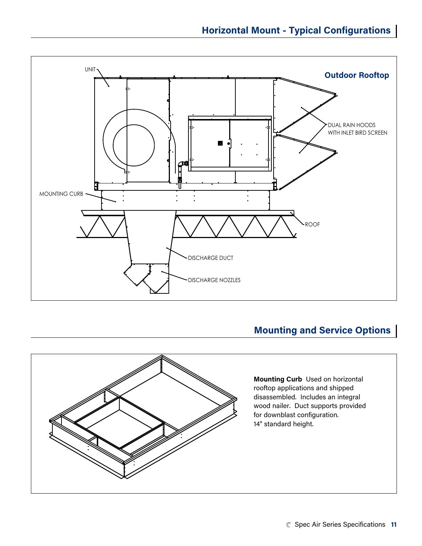

## **Mounting and Service Options**

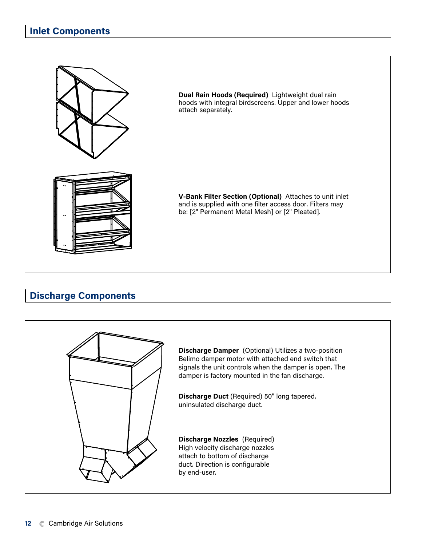

## **Discharge Components**

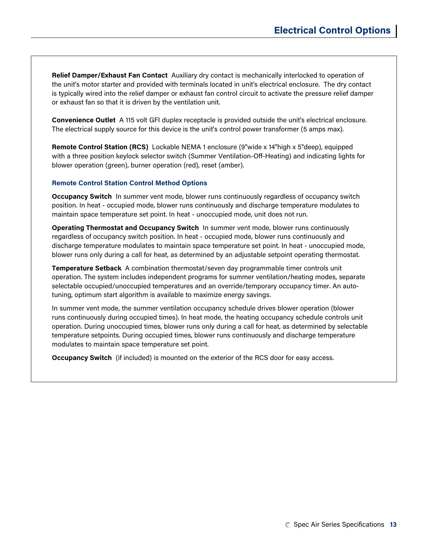**Relief Damper/Exhaust Fan Contact** Auxiliary dry contact is mechanically interlocked to operation of the unit's motor starter and provided with terminals located in unit's electrical enclosure. The dry contact is typically wired into the relief damper or exhaust fan control circuit to activate the pressure relief damper or exhaust fan so that it is driven by the ventilation unit.

**Convenience Outlet** A 115 volt GFI duplex receptacle is provided outside the unit's electrical enclosure. The electrical supply source for this device is the unit's control power transformer (5 amps max).

**Remote Control Station (RCS)** Lockable NEMA 1 enclosure (9"wide x 14"high x 5"deep), equipped with a three position keylock selector switch (Summer Ventilation-Off-Heating) and indicating lights for blower operation (green), burner operation (red), reset (amber).

#### **Remote Control Station Control Method Options**

**Occupancy Switch** In summer vent mode, blower runs continuously regardless of occupancy switch position. In heat - occupied mode, blower runs continuously and discharge temperature modulates to maintain space temperature set point. In heat - unoccupied mode, unit does not run.

**Operating Thermostat and Occupancy Switch** In summer vent mode, blower runs continuously regardless of occupancy switch position. In heat - occupied mode, blower runs continuously and discharge temperature modulates to maintain space temperature set point. In heat - unoccupied mode, blower runs only during a call for heat, as determined by an adjustable setpoint operating thermostat.

**Temperature Setback** A combination thermostat/seven day programmable timer controls unit operation. The system includes independent programs for summer ventilation/heating modes, separate selectable occupied/unoccupied temperatures and an override/temporary occupancy timer. An autotuning, optimum start algorithm is available to maximize energy savings.

In summer vent mode, the summer ventilation occupancy schedule drives blower operation (blower runs continuously during occupied times). In heat mode, the heating occupancy schedule controls unit operation. During unoccupied times, blower runs only during a call for heat, as determined by selectable temperature setpoints. During occupied times, blower runs continuously and discharge temperature modulates to maintain space temperature set point.

**Occupancy Switch** (if included) is mounted on the exterior of the RCS door for easy access.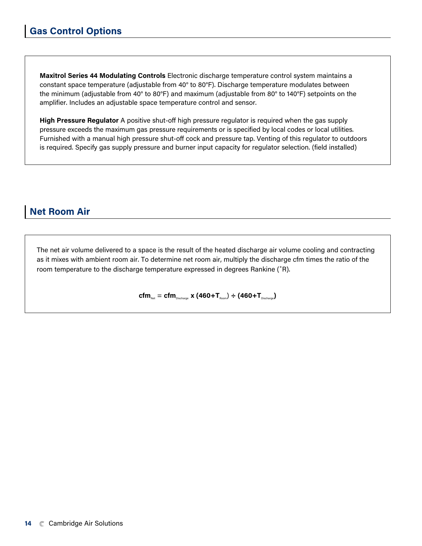**Maxitrol Series 44 Modulating Controls** Electronic discharge temperature control system maintains a constant space temperature (adjustable from 40° to 80°F). Discharge temperature modulates between the minimum (adjustable from 40° to 80°F) and maximum (adjustable from 80° to 140°F) setpoints on the amplifier. Includes an adjustable space temperature control and sensor.

**High Pressure Regulator** A positive shut-off high pressure regulator is required when the gas supply pressure exceeds the maximum gas pressure requirements or is specified by local codes or local utilities. Furnished with a manual high pressure shut-off cock and pressure tap. Venting of this regulator to outdoors is required. Specify gas supply pressure and burner input capacity for regulator selection. (field installed)

## **Net Room Air**

The net air volume delivered to a space is the result of the heated discharge air volume cooling and contracting as it mixes with ambient room air. To determine net room air, multiply the discharge cfm times the ratio of the room temperature to the discharge temperature expressed in degrees Rankine (˚R).

 $\textbf{cfm}_{\text{Net}} = \textbf{cfm}_{\text{Discharge}} \times (460+\textbf{T}_{\text{Room}}) \div (460+\textbf{T}_{\text{Discharge}})$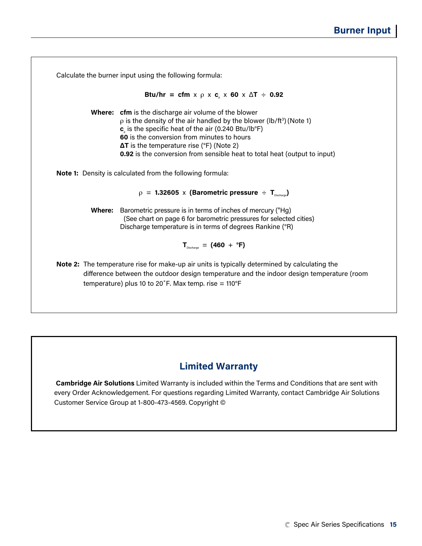| Calculate the burner input using the following formula:                                                                                        |  |  |
|------------------------------------------------------------------------------------------------------------------------------------------------|--|--|
| Btu/hr = cfm $x \rho x c$ , $x 60 x \Delta T \div 0.92$                                                                                        |  |  |
| <b>Where:</b> cfm is the discharge air volume of the blower                                                                                    |  |  |
| $\rho$ is the density of the air handled by the blower (lb/ft <sup>3</sup> ) (Note 1)<br>$cs$ is the specific heat of the air (0.240 Btu/lb°F) |  |  |
| 60 is the conversion from minutes to hours                                                                                                     |  |  |
| $\Delta T$ is the temperature rise (°F) (Note 2)                                                                                               |  |  |
| <b>0.92</b> is the conversion from sensible heat to total heat (output to input)                                                               |  |  |
| $\rho$ = 1.32605 x (Barometric pressure ÷ T <sub>Discharge</sub> )                                                                             |  |  |
| <b>Where:</b> Barometric pressure is in terms of inches of mercury ("Hg)                                                                       |  |  |
| (See chart on page 6 for barometric pressures for selected cities)                                                                             |  |  |
| Discharge temperature is in terms of degrees Rankine (°R)                                                                                      |  |  |
| $T_{Distance} = (460 + °F)$                                                                                                                    |  |  |
| <b>Note 2:</b> The temperature rise for make-up air units is typically determined by calculating the                                           |  |  |
| difference between the outdoor design temperature and the indoor design temperature (room                                                      |  |  |
|                                                                                                                                                |  |  |

## **Limited Warranty**

 **Cambridge Air Solutions** Limited Warranty is included within the Terms and Conditions that are sent with every Order Acknowledgement. For questions regarding Limited Warranty, contact Cambridge Air Solutions Customer Service Group at 1-800-473-4569. Copyright ©